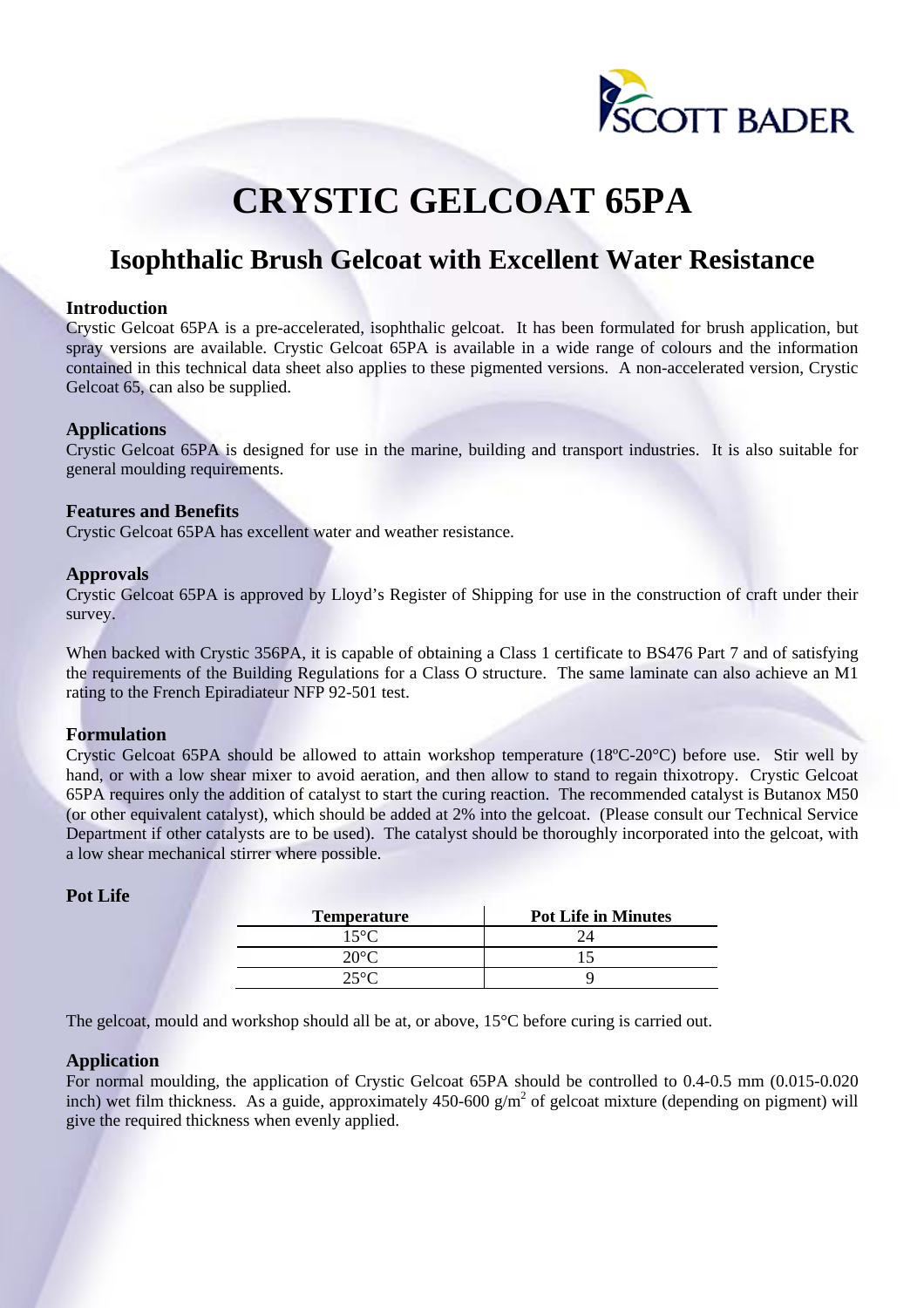

# **CRYSTIC GELCOAT 65PA**

# **Isophthalic Brush Gelcoat with Excellent Water Resistance**

#### **Introduction**

Crystic Gelcoat 65PA is a pre-accelerated, isophthalic gelcoat. It has been formulated for brush application, but spray versions are available. Crystic Gelcoat 65PA is available in a wide range of colours and the information contained in this technical data sheet also applies to these pigmented versions. A non-accelerated version, Crystic Gelcoat 65, can also be supplied.

#### **Applications**

Crystic Gelcoat 65PA is designed for use in the marine, building and transport industries. It is also suitable for general moulding requirements.

#### **Features and Benefits**

Crystic Gelcoat 65PA has excellent water and weather resistance.

#### **Approvals**

Crystic Gelcoat 65PA is approved by Lloyd's Register of Shipping for use in the construction of craft under their survey.

When backed with Crystic 356PA, it is capable of obtaining a Class 1 certificate to BS476 Part 7 and of satisfying the requirements of the Building Regulations for a Class O structure. The same laminate can also achieve an M1 rating to the French Epiradiateur NFP 92-501 test.

#### **Formulation**

Crystic Gelcoat 65PA should be allowed to attain workshop temperature (18ºC-20°C) before use. Stir well by hand, or with a low shear mixer to avoid aeration, and then allow to stand to regain thixotropy. Crystic Gelcoat 65PA requires only the addition of catalyst to start the curing reaction. The recommended catalyst is Butanox M50 (or other equivalent catalyst), which should be added at 2% into the gelcoat. (Please consult our Technical Service Department if other catalysts are to be used). The catalyst should be thoroughly incorporated into the gelcoat, with a low shear mechanical stirrer where possible.

| <b>Temperature</b> | <b>Pot Life in Minutes</b> |
|--------------------|----------------------------|
| 15°C               |                            |
| 20°C.              |                            |
| $25^{\circ}C$      |                            |

# **Pot Life**

The gelcoat, mould and workshop should all be at, or above, 15°C before curing is carried out.

#### **Application**

For normal moulding, the application of Crystic Gelcoat 65PA should be controlled to 0.4-0.5 mm (0.015-0.020 inch) wet film thickness. As a guide, approximately  $450-600$  g/m<sup>2</sup> of gelcoat mixture (depending on pigment) will give the required thickness when evenly applied.